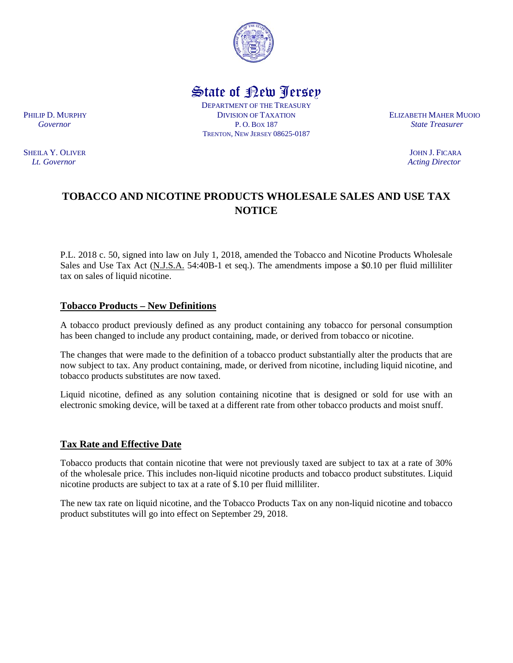

State of New Jersey

DEPARTMENT OF THE TREASURY PHILIP D. MURPHY **ELIZABETH MAHER MUOIO**  *Governor* P. O. BOX 187 *State Treasurer* TRENTON, NEW JERSEY 08625-0187

# **TOBACCO AND NICOTINE PRODUCTS WHOLESALE SALES AND USE TAX NOTICE**

P.L. 2018 c. 50, signed into law on July 1, 2018, amended the Tobacco and Nicotine Products Wholesale Sales and Use Tax Act (N.J.S.A. 54:40B-1 et seq.). The amendments impose a \$0.10 per fluid milliliter tax on sales of liquid nicotine.

## **Tobacco Products – New Definitions**

A tobacco product previously defined as any product containing any tobacco for personal consumption has been changed to include any product containing, made, or derived from tobacco or nicotine.

The changes that were made to the definition of a tobacco product substantially alter the products that are now subject to tax. Any product containing, made, or derived from nicotine, including liquid nicotine, and tobacco products substitutes are now taxed.

Liquid nicotine, defined as any solution containing nicotine that is designed or sold for use with an electronic smoking device, will be taxed at a different rate from other tobacco products and moist snuff.

#### **Tax Rate and Effective Date**

Tobacco products that contain nicotine that were not previously taxed are subject to tax at a rate of 30% of the wholesale price. This includes non-liquid nicotine products and tobacco product substitutes. Liquid nicotine products are subject to tax at a rate of \$.10 per fluid milliliter.

The new tax rate on liquid nicotine, and the Tobacco Products Tax on any non-liquid nicotine and tobacco product substitutes will go into effect on September 29, 2018.

SHEILA Y. OLIVER JOHN J. FICARA *Lt. Governor Acting Director*